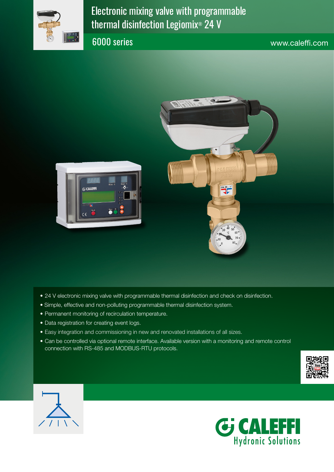

Electronic mixing valve with programmable thermal disinfection Legiomix® 24 V

6000 series www.caleffi.com



- 24 V electronic mixing valve with programmable thermal disinfection and check on disinfection.
- Simple, effective and non-polluting programmable thermal disinfection system.
- Permanent monitoring of recirculation temperature.
- Data registration for creating event logs.
- Easy integration and commissioning in new and renovated installations of all sizes.
- Can be controlled via optional remote interface. Available version with a monitoring and remote control connection with RS-485 and MODBUS-RTU protocols.